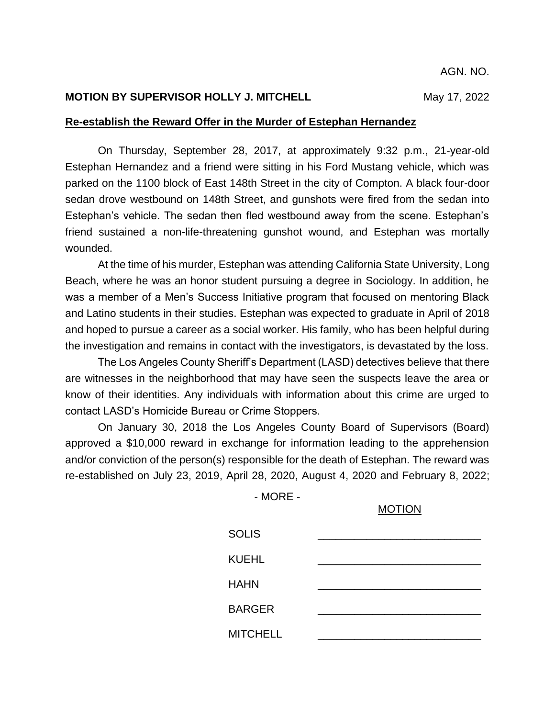## **MOTION BY SUPERVISOR HOLLY J. MITCHELL** May 17, 2022

### **Re-establish the Reward Offer in the Murder of Estephan Hernandez**

On Thursday, September 28, 2017, at approximately 9:32 p.m., 21-year-old Estephan Hernandez and a friend were sitting in his Ford Mustang vehicle, which was parked on the 1100 block of East 148th Street in the city of Compton. A black four-door sedan drove westbound on 148th Street, and gunshots were fired from the sedan into Estephan's vehicle. The sedan then fled westbound away from the scene. Estephan's friend sustained a non-life-threatening gunshot wound, and Estephan was mortally wounded.

At the time of his murder, Estephan was attending California State University, Long Beach, where he was an honor student pursuing a degree in Sociology. In addition, he was a member of a Men's Success Initiative program that focused on mentoring Black and Latino students in their studies. Estephan was expected to graduate in April of 2018 and hoped to pursue a career as a social worker. His family, who has been helpful during the investigation and remains in contact with the investigators, is devastated by the loss.

The Los Angeles County Sheriff's Department (LASD) detectives believe that there are witnesses in the neighborhood that may have seen the suspects leave the area or know of their identities. Any individuals with information about this crime are urged to contact LASD's Homicide Bureau or Crime Stoppers.

On January 30, 2018 the Los Angeles County Board of Supervisors (Board) approved a \$10,000 reward in exchange for information leading to the apprehension and/or conviction of the person(s) responsible for the death of Estephan. The reward was re-established on July 23, 2019, April 28, 2020, August 4, 2020 and February 8, 2022;

- MORE -

#### MOTION

| <b>SOLIS</b>    |  |
|-----------------|--|
| <b>KUEHL</b>    |  |
| <b>HAHN</b>     |  |
| <b>BARGER</b>   |  |
| <b>MITCHELL</b> |  |